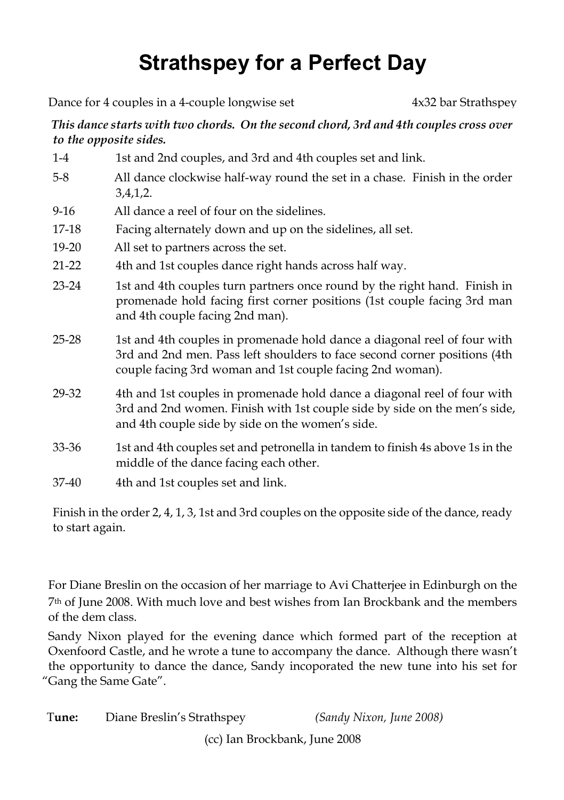## **Strathspey for a Perfect Day**

Dance for 4 couples in a 4-couple longwise set 4x32 bar Strathspey

## *This dance starts with two chords. On the second chord, 3rd and 4th couples cross over to the opposite sides.*

| $1-4$     | 1st and 2nd couples, and 3rd and 4th couples set and link.                                                                                                                                                         |  |
|-----------|--------------------------------------------------------------------------------------------------------------------------------------------------------------------------------------------------------------------|--|
| $5-8$     | All dance clockwise half-way round the set in a chase. Finish in the order<br>3,4,1,2.                                                                                                                             |  |
| $9-16$    | All dance a reel of four on the sidelines.                                                                                                                                                                         |  |
| 17-18     | Facing alternately down and up on the sidelines, all set.                                                                                                                                                          |  |
| 19-20     | All set to partners across the set.                                                                                                                                                                                |  |
| $21 - 22$ | 4th and 1st couples dance right hands across half way.                                                                                                                                                             |  |
| $23 - 24$ | 1st and 4th couples turn partners once round by the right hand. Finish in<br>promenade hold facing first corner positions (1st couple facing 3rd man<br>and 4th couple facing 2nd man).                            |  |
| $25 - 28$ | 1st and 4th couples in promenade hold dance a diagonal reel of four with<br>3rd and 2nd men. Pass left shoulders to face second corner positions (4th<br>couple facing 3rd woman and 1st couple facing 2nd woman). |  |
| 29-32     | 4th and 1st couples in promenade hold dance a diagonal reel of four with<br>3rd and 2nd women. Finish with 1st couple side by side on the men's side,<br>and 4th couple side by side on the women's side.          |  |
| 33-36     | 1st and 4th couples set and petronella in tandem to finish 4s above 1s in the<br>middle of the dance facing each other.                                                                                            |  |
| 37-40     | 4th and 1st couples set and link.                                                                                                                                                                                  |  |

Finish in the order 2, 4, 1, 3, 1st and 3rd couples on the opposite side of the dance, ready to start again.

For Diane Breslin on the occasion of her marriage to Avi Chatterjee in Edinburgh on the 7th of June 2008. With much love and best wishes from Ian Brockbank and the members of the dem class.

Sandy Nixon played for the evening dance which formed part of the reception at Oxenfoord Castle, and he wrote a tune to accompany the dance. Although there wasn't the opportunity to dance the dance, Sandy incoporated the new tune into his set for "Gang the Same Gate".

| Tune: | Diane Breslin's Strathspey | (Sandy Nixon, June 2008) |
|-------|----------------------------|--------------------------|
|-------|----------------------------|--------------------------|

(cc) Ian Brockbank, June 2008